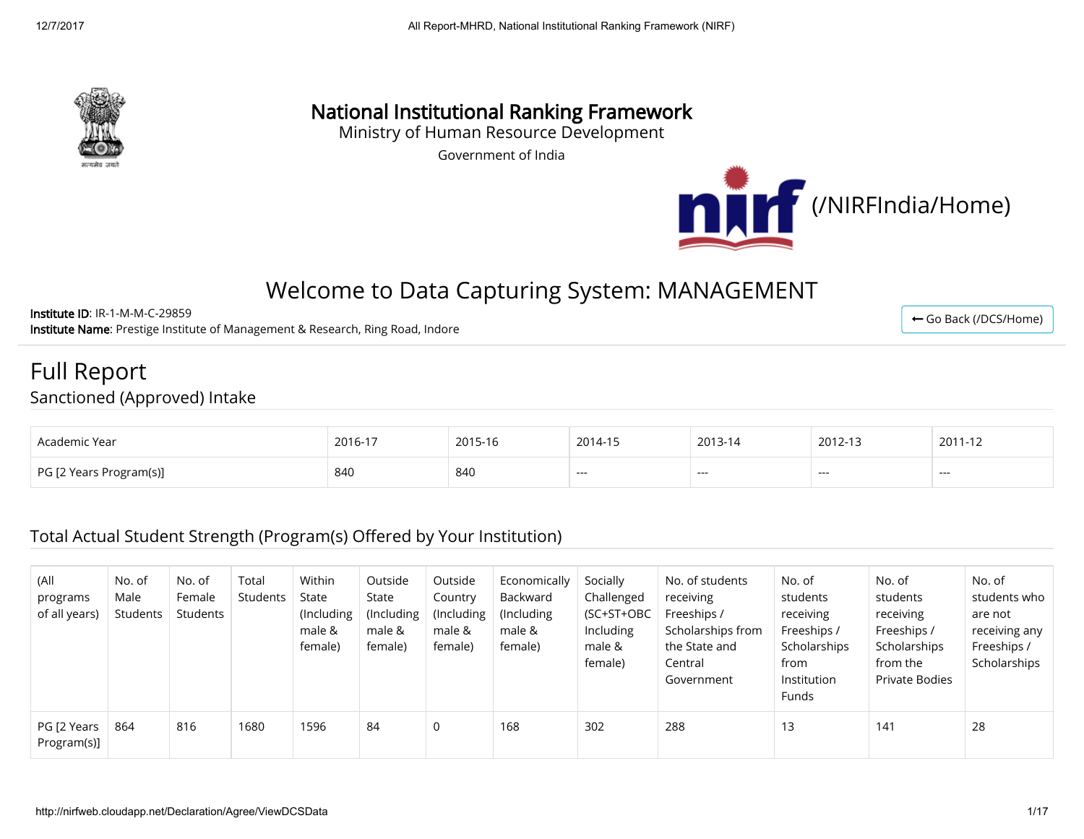

# National Institutional Ranking Framework

Ministry of Human Resource Development

Government of India



← [Go Back \(/DCS/Home\)](http://nirfweb.cloudapp.net/DCS/Home)

# Welcome to Data Capturing System: MANAGEMENT

Institute ID: IR-1-M-M-C-29859 Institute Name: Prestige Institute of Management & Research, Ring Road, Indore

### Full Report Sanctioned (Approved) Intake

| Academic Year                | 2016-17 | 2015-16 | 2014-15        | 2013-14 | 2012-13 | 2011-12 |
|------------------------------|---------|---------|----------------|---------|---------|---------|
| PG I1<br>! Years Program(s)] | 840     | 840     | <b>Service</b> | ---     | ---     | ---     |

### Total Actual Student Strength (Program(s) Offered by Your Institution)

| (All<br>programs<br>of all years) | No. of<br>Male<br>Students | No. of<br>Female<br>Students | Total<br>Students | Within<br>State<br>(Including<br>male &<br>female) | Outside<br>State<br>(Including<br>male &<br>female) | Outside<br>Country<br>(Including<br>male &<br>female) | Economically<br>Backward<br>(Including)<br>male &<br>female) | Socially<br>Challenged<br>(SC+ST+OBC<br>Including<br>male &<br>female) | No. of students<br>receiving<br>Freeships /<br>Scholarships from<br>the State and<br>Central<br>Government | No. of<br>students<br>receiving<br>Freeships /<br>Scholarships<br>from<br>Institution<br><b>Funds</b> | No. of<br>students<br>receiving<br>Freeships /<br>Scholarships<br>from the<br>Private Bodies | No. of<br>students who<br>are not<br>receiving any<br>Freeships /<br>Scholarships |
|-----------------------------------|----------------------------|------------------------------|-------------------|----------------------------------------------------|-----------------------------------------------------|-------------------------------------------------------|--------------------------------------------------------------|------------------------------------------------------------------------|------------------------------------------------------------------------------------------------------------|-------------------------------------------------------------------------------------------------------|----------------------------------------------------------------------------------------------|-----------------------------------------------------------------------------------|
| PG [2 Years<br>Program(s)]        | 864                        | 816                          | 1680              | 1596                                               | 84                                                  | 0                                                     | 168                                                          | 302                                                                    | 288                                                                                                        | 13                                                                                                    | 141                                                                                          | 28                                                                                |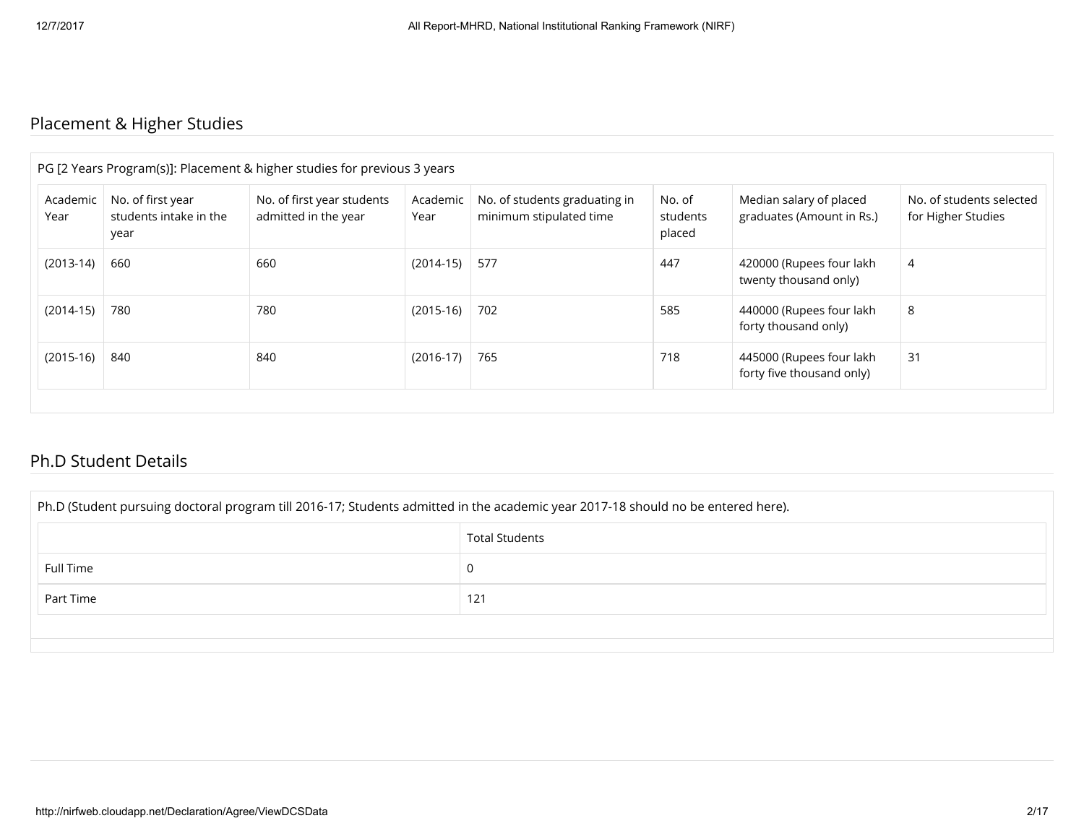# Placement & Higher Studies

|                  |                                                     | PG [2 Years Program(s)]: Placement & higher studies for previous 3 years |                  |                                                          |                              |                                                       |                                                |
|------------------|-----------------------------------------------------|--------------------------------------------------------------------------|------------------|----------------------------------------------------------|------------------------------|-------------------------------------------------------|------------------------------------------------|
| Academic<br>Year | No. of first year<br>students intake in the<br>year | No. of first year students<br>admitted in the year                       | Academic<br>Year | No. of students graduating in<br>minimum stipulated time | No. of<br>students<br>placed | Median salary of placed<br>graduates (Amount in Rs.)  | No. of students selected<br>for Higher Studies |
| $(2013-14)$      | 660                                                 | 660                                                                      | $(2014-15)$      | 577                                                      | 447                          | 420000 (Rupees four lakh<br>twenty thousand only)     | 4                                              |
| $(2014-15)$      | 780                                                 | 780                                                                      | $(2015-16)$      | 702                                                      | 585                          | 440000 (Rupees four lakh<br>forty thousand only)      | 8                                              |
| $(2015-16)$      | 840                                                 | 840                                                                      | $(2016-17)$      | 765                                                      | 718                          | 445000 (Rupees four lakh<br>forty five thousand only) | 31                                             |

### Ph.D Student Details

| Ph.D (Student pursuing doctoral program till 2016-17; Students admitted in the academic year 2017-18 should no be entered here). |                       |  |  |
|----------------------------------------------------------------------------------------------------------------------------------|-----------------------|--|--|
|                                                                                                                                  | <b>Total Students</b> |  |  |
| Full Time                                                                                                                        | 0                     |  |  |
| Part Time                                                                                                                        | 121                   |  |  |
|                                                                                                                                  |                       |  |  |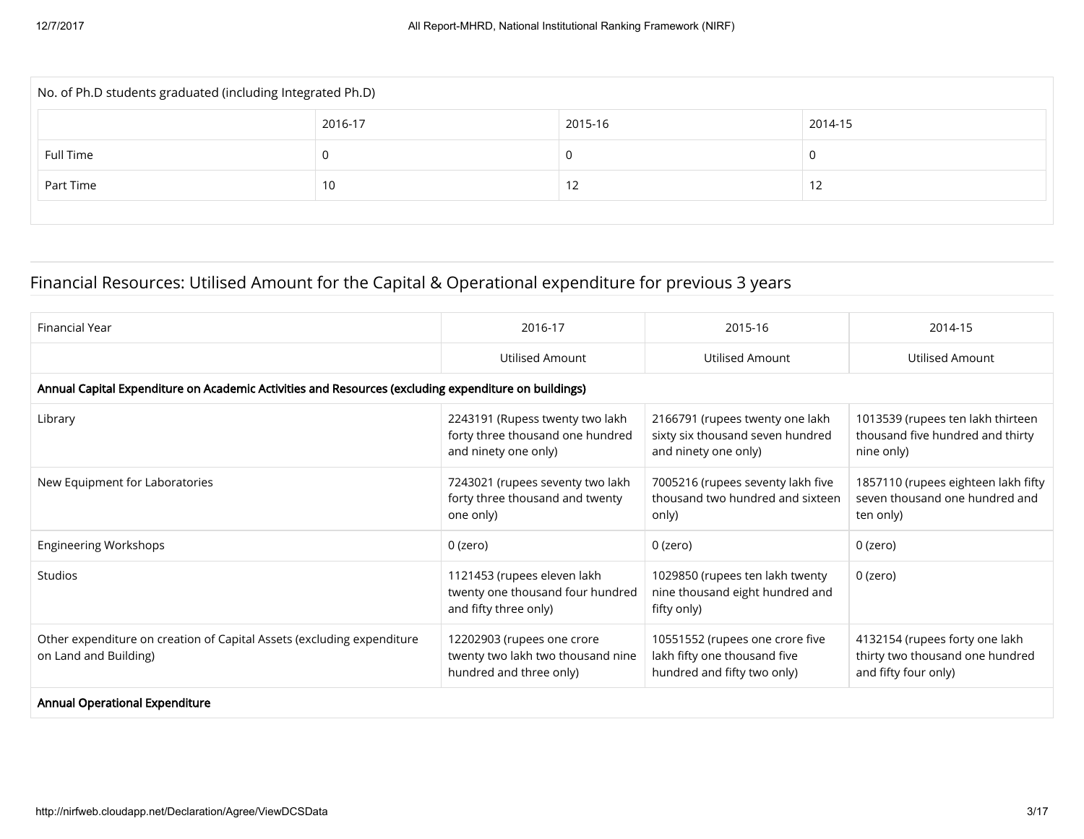| No. of Ph.D students graduated (including Integrated Ph.D) |         |         |         |  |  |
|------------------------------------------------------------|---------|---------|---------|--|--|
|                                                            | 2016-17 | 2015-16 | 2014-15 |  |  |
| Full Time                                                  | υ       |         |         |  |  |
| Part Time                                                  | 10      | 12      | ے ا     |  |  |
|                                                            |         |         |         |  |  |

# Financial Resources: Utilised Amount for the Capital & Operational expenditure for previous 3 years

| Financial Year                                                                                       | 2016-17                                                                                     | 2015-16                                                                                        | 2014-15                                                                                   |
|------------------------------------------------------------------------------------------------------|---------------------------------------------------------------------------------------------|------------------------------------------------------------------------------------------------|-------------------------------------------------------------------------------------------|
|                                                                                                      | <b>Utilised Amount</b>                                                                      | Utilised Amount                                                                                | <b>Utilised Amount</b>                                                                    |
| Annual Capital Expenditure on Academic Activities and Resources (excluding expenditure on buildings) |                                                                                             |                                                                                                |                                                                                           |
| Library                                                                                              | 2243191 (Rupess twenty two lakh<br>forty three thousand one hundred<br>and ninety one only) | 2166791 (rupees twenty one lakh<br>sixty six thousand seven hundred<br>and ninety one only)    | 1013539 (rupees ten lakh thirteen<br>thousand five hundred and thirty<br>nine only)       |
| New Equipment for Laboratories                                                                       | 7243021 (rupees seventy two lakh<br>forty three thousand and twenty<br>one only)            | 7005216 (rupees seventy lakh five<br>thousand two hundred and sixteen<br>only)                 | 1857110 (rupees eighteen lakh fifty<br>seven thousand one hundred and<br>ten only)        |
| <b>Engineering Workshops</b>                                                                         | $0$ (zero)                                                                                  | 0 (zero)                                                                                       | 0 (zero)                                                                                  |
| Studios                                                                                              | 1121453 (rupees eleven lakh<br>twenty one thousand four hundred<br>and fifty three only)    | 1029850 (rupees ten lakh twenty<br>nine thousand eight hundred and<br>fifty only)              | 0 (zero)                                                                                  |
| Other expenditure on creation of Capital Assets (excluding expenditure<br>on Land and Building)      | 12202903 (rupees one crore<br>twenty two lakh two thousand nine<br>hundred and three only)  | 10551552 (rupees one crore five<br>lakh fifty one thousand five<br>hundred and fifty two only) | 4132154 (rupees forty one lakh<br>thirty two thousand one hundred<br>and fifty four only) |
| <b>Annual Operational Expenditure</b>                                                                |                                                                                             |                                                                                                |                                                                                           |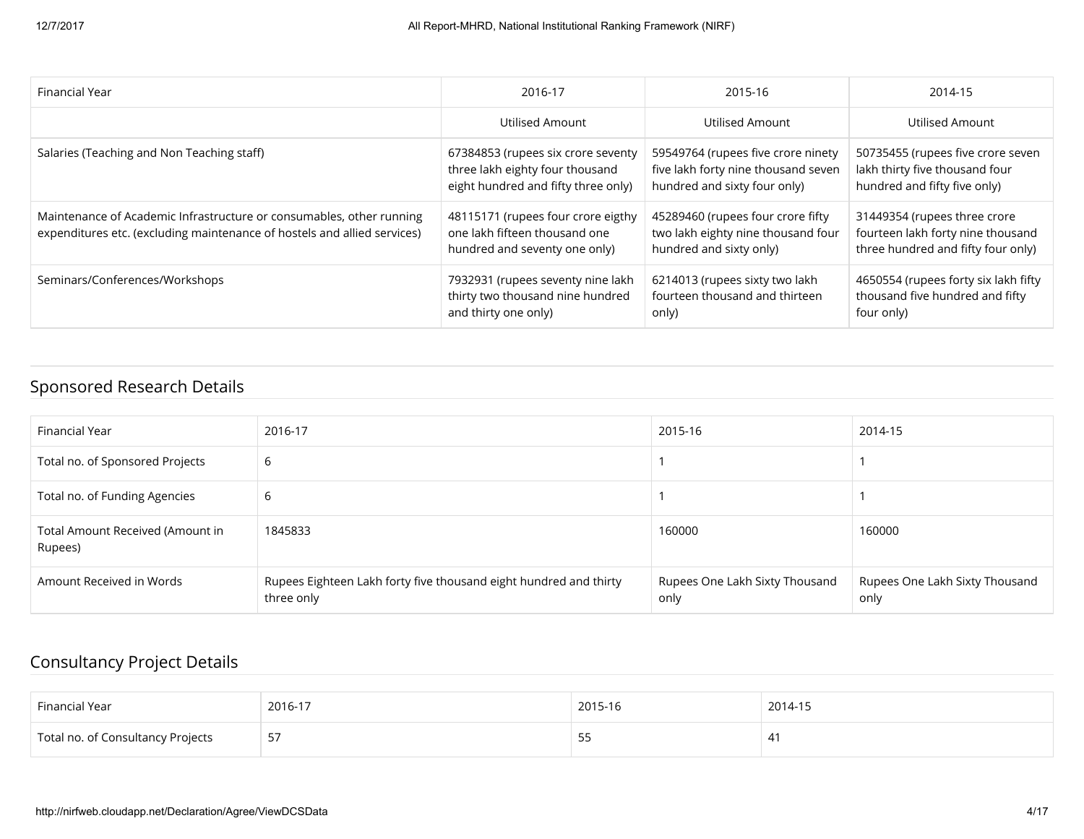| Financial Year                                                                                                                                   | 2016-17                                                                                                      | 2015-16                                                                                                   | 2014-15                                                                                                 |
|--------------------------------------------------------------------------------------------------------------------------------------------------|--------------------------------------------------------------------------------------------------------------|-----------------------------------------------------------------------------------------------------------|---------------------------------------------------------------------------------------------------------|
|                                                                                                                                                  | <b>Utilised Amount</b>                                                                                       | Utilised Amount                                                                                           | <b>Utilised Amount</b>                                                                                  |
| Salaries (Teaching and Non Teaching staff)                                                                                                       | 67384853 (rupees six crore seventy<br>three lakh eighty four thousand<br>eight hundred and fifty three only) | 59549764 (rupees five crore ninety<br>five lakh forty nine thousand seven<br>hundred and sixty four only) | 50735455 (rupees five crore seven<br>lakh thirty five thousand four<br>hundred and fifty five only)     |
| Maintenance of Academic Infrastructure or consumables, other running<br>expenditures etc. (excluding maintenance of hostels and allied services) | 48115171 (rupees four crore eigthy<br>one lakh fifteen thousand one<br>hundred and seventy one only)         | 45289460 (rupees four crore fifty<br>two lakh eighty nine thousand four<br>hundred and sixty only)        | 31449354 (rupees three crore<br>fourteen lakh forty nine thousand<br>three hundred and fifty four only) |
| Seminars/Conferences/Workshops                                                                                                                   | 7932931 (rupees seventy nine lakh<br>thirty two thousand nine hundred<br>and thirty one only)                | 6214013 (rupees sixty two lakh<br>fourteen thousand and thirteen<br>only)                                 | 4650554 (rupees forty six lakh fifty<br>thousand five hundred and fifty<br>four only)                   |

### Sponsored Research Details

| Financial Year                              | 2016-17                                                                         | 2015-16                                | 2014-15                                |
|---------------------------------------------|---------------------------------------------------------------------------------|----------------------------------------|----------------------------------------|
| Total no. of Sponsored Projects             | 6                                                                               |                                        |                                        |
| Total no. of Funding Agencies               | 6                                                                               |                                        |                                        |
| Total Amount Received (Amount in<br>Rupees) | 1845833                                                                         | 160000                                 | 160000                                 |
| Amount Received in Words                    | Rupees Eighteen Lakh forty five thousand eight hundred and thirty<br>three only | Rupees One Lakh Sixty Thousand<br>only | Rupees One Lakh Sixty Thousand<br>only |

### Consultancy Project Details

| Financial Year                    | 2016-17 | 2015-16 | 2014-15 |
|-----------------------------------|---------|---------|---------|
| Total no. of Consultancy Projects | -57     | 55      | -41     |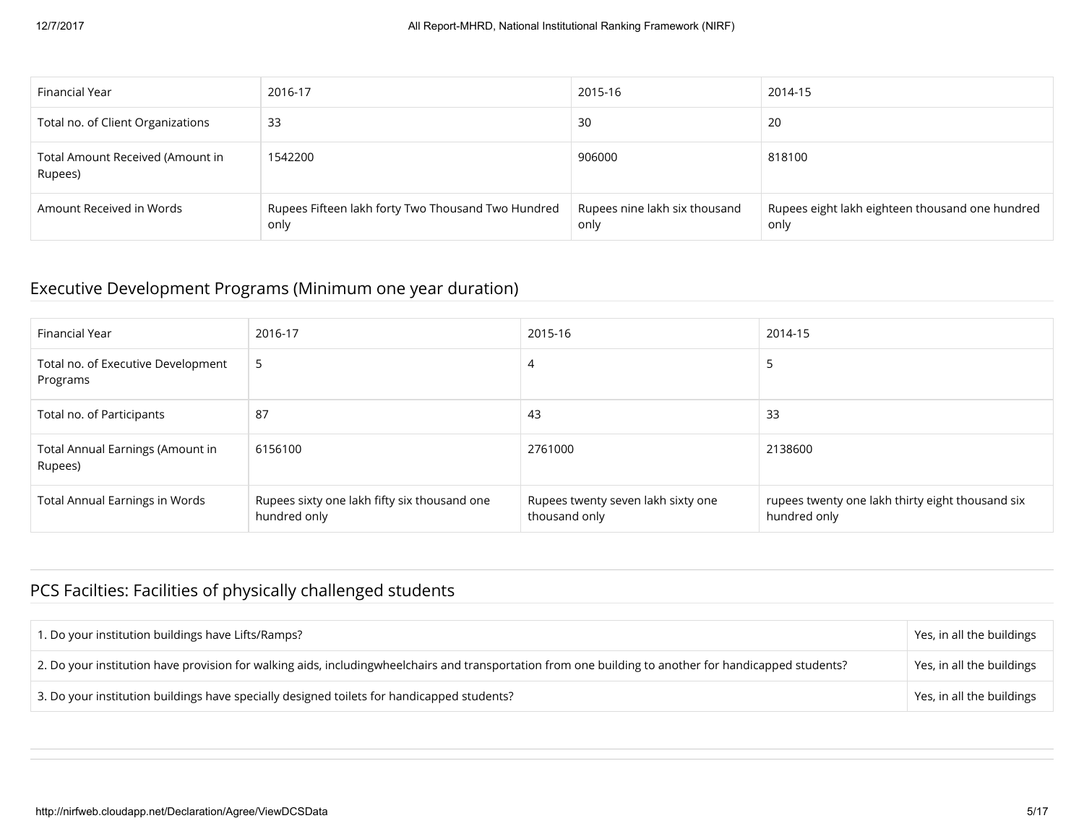| Financial Year                              | 2016-17                                                    | 2015-16                               | 2014-15                                                 |
|---------------------------------------------|------------------------------------------------------------|---------------------------------------|---------------------------------------------------------|
| Total no. of Client Organizations           | 33                                                         | 30                                    | 20                                                      |
| Total Amount Received (Amount in<br>Rupees) | 1542200                                                    | 906000                                | 818100                                                  |
| Amount Received in Words                    | Rupees Fifteen lakh forty Two Thousand Two Hundred<br>only | Rupees nine lakh six thousand<br>only | Rupees eight lakh eighteen thousand one hundred<br>only |

#### Executive Development Programs (Minimum one year duration)

| Financial Year                                 | 2016-17                                                      | 2015-16                                             | 2014-15                                                          |
|------------------------------------------------|--------------------------------------------------------------|-----------------------------------------------------|------------------------------------------------------------------|
| Total no. of Executive Development<br>Programs | -5                                                           | 4                                                   | 5                                                                |
| Total no. of Participants                      | 87                                                           | 43                                                  | 33                                                               |
| Total Annual Earnings (Amount in<br>Rupees)    | 6156100                                                      | 2761000                                             | 2138600                                                          |
| <b>Total Annual Earnings in Words</b>          | Rupees sixty one lakh fifty six thousand one<br>hundred only | Rupees twenty seven lakh sixty one<br>thousand only | rupees twenty one lakh thirty eight thousand six<br>hundred only |

# PCS Facilties: Facilities of physically challenged students

| 1. Do your institution buildings have Lifts/Ramps?                                                                                                     | Yes, in all the buildings |
|--------------------------------------------------------------------------------------------------------------------------------------------------------|---------------------------|
| 2. Do your institution have provision for walking aids, includingwheelchairs and transportation from one building to another for handicapped students? | Yes, in all the buildings |
| 3. Do your institution buildings have specially designed toilets for handicapped students?                                                             | Yes, in all the buildings |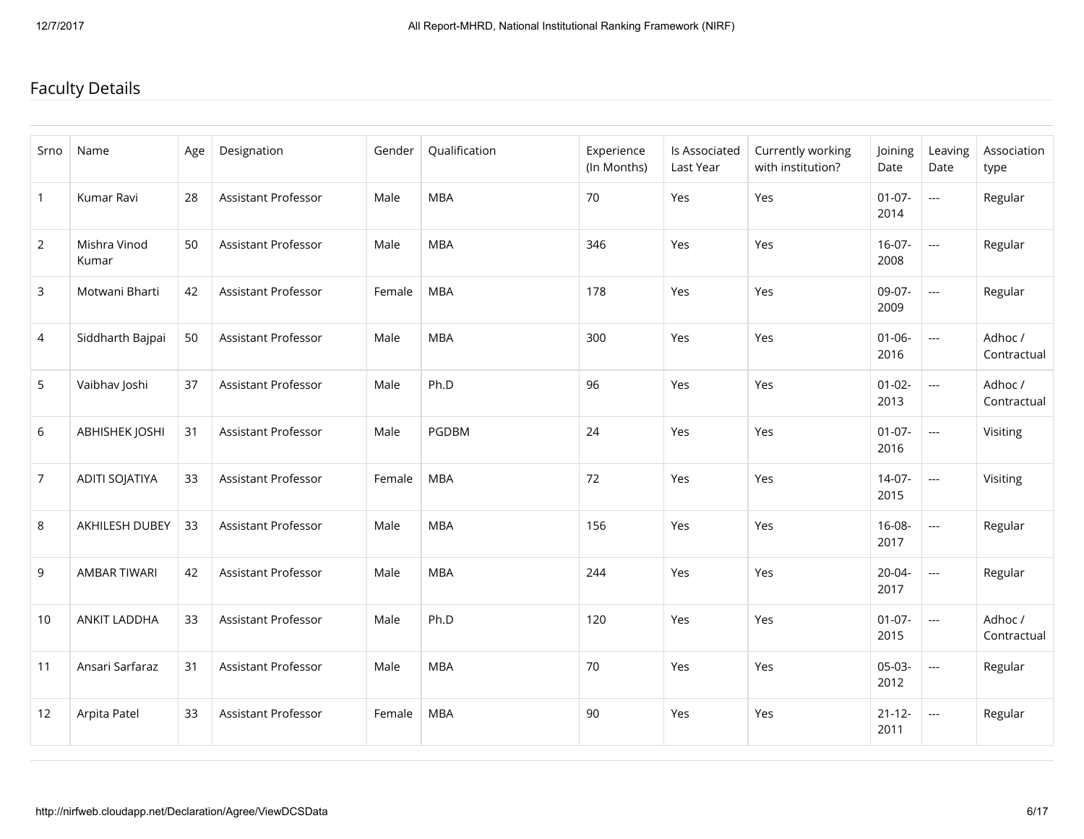# Faculty Details

| Srno           | Name                  | Age | Designation         | Gender | Qualification | Experience<br>(In Months) | Is Associated<br>Last Year | Currently working<br>with institution? | Joining<br>Date     | Leaving<br>Date          | Association<br>type    |
|----------------|-----------------------|-----|---------------------|--------|---------------|---------------------------|----------------------------|----------------------------------------|---------------------|--------------------------|------------------------|
| $\mathbf{1}$   | Kumar Ravi            | 28  | Assistant Professor | Male   | <b>MBA</b>    | 70                        | Yes                        | Yes                                    | $01 - 07 -$<br>2014 | ---                      | Regular                |
| $\overline{2}$ | Mishra Vinod<br>Kumar | 50  | Assistant Professor | Male   | <b>MBA</b>    | 346                       | Yes                        | Yes                                    | $16-07-$<br>2008    | $\mathbb{L} \mathbb{L}$  | Regular                |
| 3              | Motwani Bharti        | 42  | Assistant Professor | Female | <b>MBA</b>    | 178                       | Yes                        | Yes                                    | 09-07-<br>2009      | $\overline{\phantom{a}}$ | Regular                |
| 4              | Siddharth Bajpai      | 50  | Assistant Professor | Male   | <b>MBA</b>    | 300                       | Yes                        | Yes                                    | $01 - 06 -$<br>2016 | $\scriptstyle\cdots$     | Adhoc /<br>Contractual |
| 5              | Vaibhav Joshi         | 37  | Assistant Professor | Male   | Ph.D          | 96                        | Yes                        | Yes                                    | $01 - 02 -$<br>2013 | ---                      | Adhoc /<br>Contractual |
| 6              | <b>ABHISHEK JOSHI</b> | 31  | Assistant Professor | Male   | PGDBM         | 24                        | Yes                        | Yes                                    | $01-07-$<br>2016    | ---                      | Visiting               |
| $\overline{7}$ | ADITI SOJATIYA        | 33  | Assistant Professor | Female | <b>MBA</b>    | 72                        | Yes                        | Yes                                    | $14-07-$<br>2015    | ---                      | Visiting               |
| 8              | AKHILESH DUBEY        | 33  | Assistant Professor | Male   | <b>MBA</b>    | 156                       | Yes                        | Yes                                    | $16 - 08 -$<br>2017 | ---                      | Regular                |
| 9              | AMBAR TIWARI          | 42  | Assistant Professor | Male   | <b>MBA</b>    | 244                       | Yes                        | Yes                                    | $20 - 04 -$<br>2017 | $\mathbb{L} \mathbb{L}$  | Regular                |
| 10             | ANKIT LADDHA          | 33  | Assistant Professor | Male   | Ph.D          | 120                       | Yes                        | Yes                                    | $01-07-$<br>2015    | ---                      | Adhoc /<br>Contractual |
| 11             | Ansari Sarfaraz       | 31  | Assistant Professor | Male   | <b>MBA</b>    | 70                        | Yes                        | Yes                                    | 05-03-<br>2012      | ---                      | Regular                |
| 12             | Arpita Patel          | 33  | Assistant Professor | Female | <b>MBA</b>    | 90                        | Yes                        | Yes                                    | $21 - 12 -$<br>2011 | $\overline{\phantom{a}}$ | Regular                |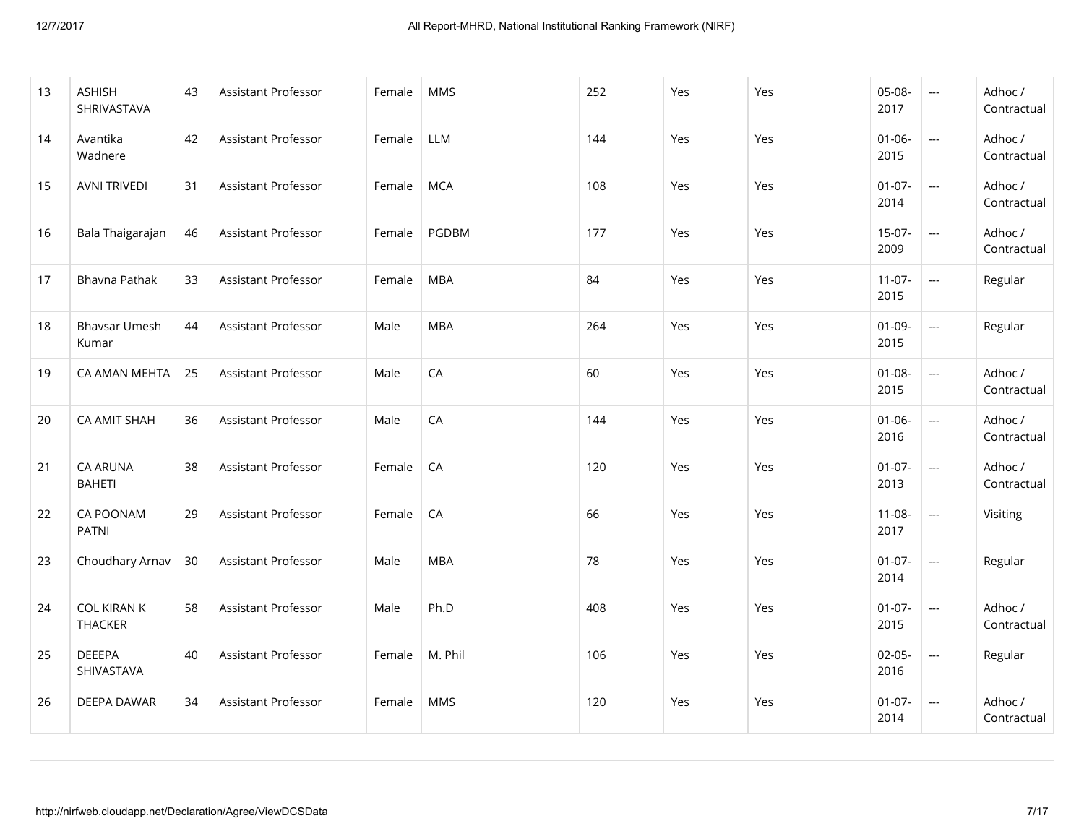| 13 | <b>ASHISH</b><br>SHRIVASTAVA         | 43 | Assistant Professor        | Female | <b>MMS</b> | 252 | Yes | Yes | $05 - 08 -$<br>2017 | $\sim$ $\sim$                      | Adhoc /<br>Contractual |
|----|--------------------------------------|----|----------------------------|--------|------------|-----|-----|-----|---------------------|------------------------------------|------------------------|
| 14 | Avantika<br>Wadnere                  | 42 | Assistant Professor        | Female | <b>LLM</b> | 144 | Yes | Yes | $01 - 06 -$<br>2015 | $\frac{1}{2}$                      | Adhoc /<br>Contractual |
| 15 | <b>AVNI TRIVEDI</b>                  | 31 | <b>Assistant Professor</b> | Female | <b>MCA</b> | 108 | Yes | Yes | $01 - 07 -$<br>2014 | $\overline{\phantom{a}}$           | Adhoc /<br>Contractual |
| 16 | Bala Thaigarajan                     | 46 | Assistant Professor        | Female | PGDBM      | 177 | Yes | Yes | $15-07-$<br>2009    | ---                                | Adhoc /<br>Contractual |
| 17 | Bhavna Pathak                        | 33 | Assistant Professor        | Female | <b>MBA</b> | 84  | Yes | Yes | $11-07-$<br>2015    |                                    | Regular                |
| 18 | <b>Bhaysar Umesh</b><br>Kumar        | 44 | Assistant Professor        | Male   | <b>MBA</b> | 264 | Yes | Yes | $01 - 09 -$<br>2015 | $\mathbb{Z} \mathbb{Z} \mathbb{Z}$ | Regular                |
| 19 | CA AMAN MEHTA                        | 25 | Assistant Professor        | Male   | CA         | 60  | Yes | Yes | $01 - 08 -$<br>2015 | ---                                | Adhoc /<br>Contractual |
| 20 | <b>CA AMIT SHAH</b>                  | 36 | Assistant Professor        | Male   | CA         | 144 | Yes | Yes | $01 - 06 -$<br>2016 | $\sim$ $\sim$                      | Adhoc /<br>Contractual |
| 21 | <b>CA ARUNA</b><br><b>BAHETI</b>     | 38 | Assistant Professor        | Female | CA         | 120 | Yes | Yes | $01-07-$<br>2013    | $\overline{\phantom{a}}$           | Adhoc /<br>Contractual |
| 22 | CA POONAM<br><b>PATNI</b>            | 29 | Assistant Professor        | Female | CA         | 66  | Yes | Yes | $11 - 08 -$<br>2017 | $\hspace{0.05cm} \ldots$           | Visiting               |
| 23 | Choudhary Arnav                      | 30 | Assistant Professor        | Male   | <b>MBA</b> | 78  | Yes | Yes | $01-07-$<br>2014    | $\hspace{0.05cm} \ldots$           | Regular                |
| 24 | <b>COL KIRAN K</b><br><b>THACKER</b> | 58 | Assistant Professor        | Male   | Ph.D       | 408 | Yes | Yes | $01 - 07 -$<br>2015 |                                    | Adhoc /<br>Contractual |
| 25 | <b>DEEEPA</b><br>SHIVASTAVA          | 40 | Assistant Professor        | Female | M. Phil    | 106 | Yes | Yes | $02 - 05 -$<br>2016 | $\hspace{0.05cm} \ldots$           | Regular                |
| 26 | DEEPA DAWAR                          | 34 | Assistant Professor        | Female | <b>MMS</b> | 120 | Yes | Yes | $01 - 07 -$<br>2014 | $\sim$ $\sim$                      | Adhoc /<br>Contractual |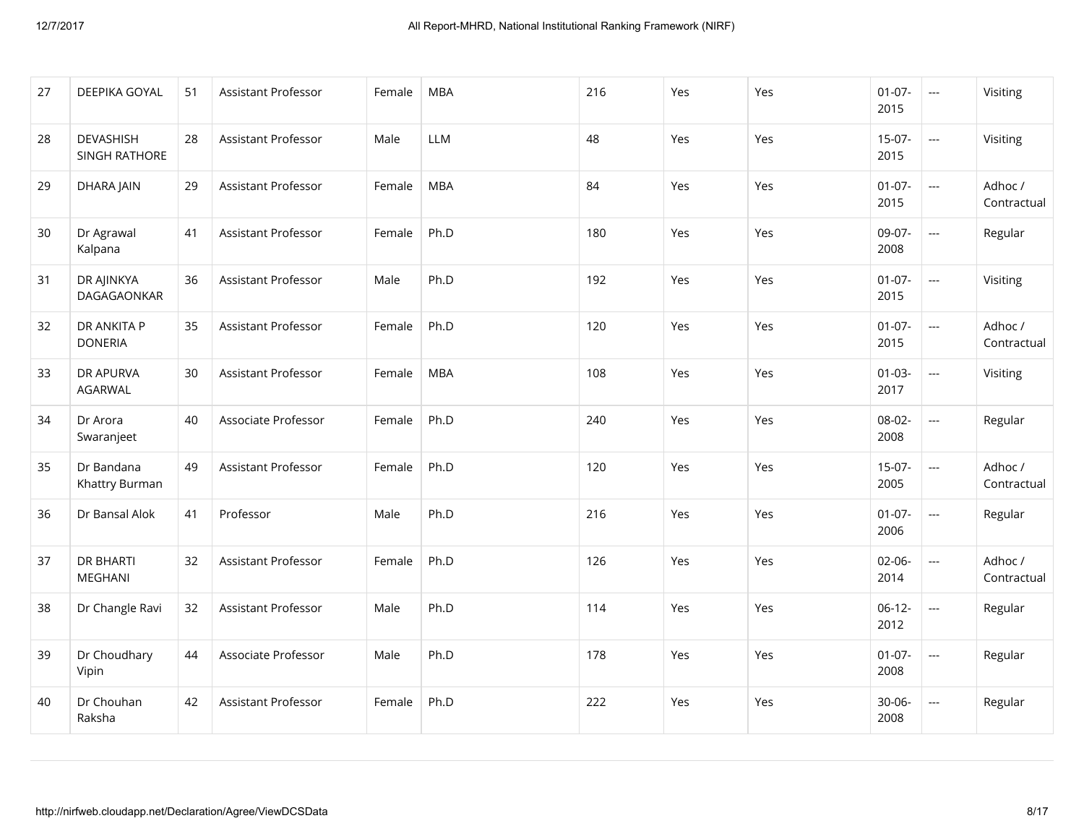| 27 | DEEPIKA GOYAL                      | 51 | Assistant Professor        | Female | <b>MBA</b> | 216 | Yes | Yes | $01-07-$<br>2015    | $\sim$ $\sim$            | Visiting               |
|----|------------------------------------|----|----------------------------|--------|------------|-----|-----|-----|---------------------|--------------------------|------------------------|
| 28 | <b>DEVASHISH</b><br>SINGH RATHORE  | 28 | Assistant Professor        | Male   | <b>LLM</b> | 48  | Yes | Yes | $15-07-$<br>2015    | $\mathbb{L} \mathbb{L}$  | Visiting               |
| 29 | DHARA JAIN                         | 29 | Assistant Professor        | Female | <b>MBA</b> | 84  | Yes | Yes | $01-07-$<br>2015    | ---                      | Adhoc/<br>Contractual  |
| 30 | Dr Agrawal<br>Kalpana              | 41 | <b>Assistant Professor</b> | Female | Ph.D       | 180 | Yes | Yes | 09-07-<br>2008      | $\overline{\phantom{a}}$ | Regular                |
| 31 | DR AJINKYA<br>DAGAGAONKAR          | 36 | <b>Assistant Professor</b> | Male   | Ph.D       | 192 | Yes | Yes | $01-07-$<br>2015    | $\sim$ $\sim$            | Visiting               |
| 32 | DR ANKITA P<br><b>DONERIA</b>      | 35 | Assistant Professor        | Female | Ph.D       | 120 | Yes | Yes | $01 - 07 -$<br>2015 | ---                      | Adhoc /<br>Contractual |
| 33 | <b>DR APURVA</b><br>AGARWAL        | 30 | Assistant Professor        | Female | <b>MBA</b> | 108 | Yes | Yes | $01 - 03 -$<br>2017 |                          | Visiting               |
| 34 | Dr Arora<br>Swaranjeet             | 40 | Associate Professor        | Female | Ph.D       | 240 | Yes | Yes | 08-02-<br>2008      | ---                      | Regular                |
| 35 | Dr Bandana<br>Khattry Burman       | 49 | Assistant Professor        | Female | Ph.D       | 120 | Yes | Yes | $15-07-$<br>2005    | ---                      | Adhoc /<br>Contractual |
| 36 | Dr Bansal Alok                     | 41 | Professor                  | Male   | Ph.D       | 216 | Yes | Yes | $01 - 07 -$<br>2006 | ---                      | Regular                |
| 37 | <b>DR BHARTI</b><br><b>MEGHANI</b> | 32 | Assistant Professor        | Female | Ph.D       | 126 | Yes | Yes | $02 - 06 -$<br>2014 | ---                      | Adhoc /<br>Contractual |
| 38 | Dr Changle Ravi                    | 32 | Assistant Professor        | Male   | Ph.D       | 114 | Yes | Yes | $06-12-$<br>2012    | ---                      | Regular                |
| 39 | Dr Choudhary<br>Vipin              | 44 | Associate Professor        | Male   | Ph.D       | 178 | Yes | Yes | $01 - 07 -$<br>2008 | ---                      | Regular                |
| 40 | Dr Chouhan<br>Raksha               | 42 | Assistant Professor        | Female | Ph.D       | 222 | Yes | Yes | $30 - 06 -$<br>2008 | ---                      | Regular                |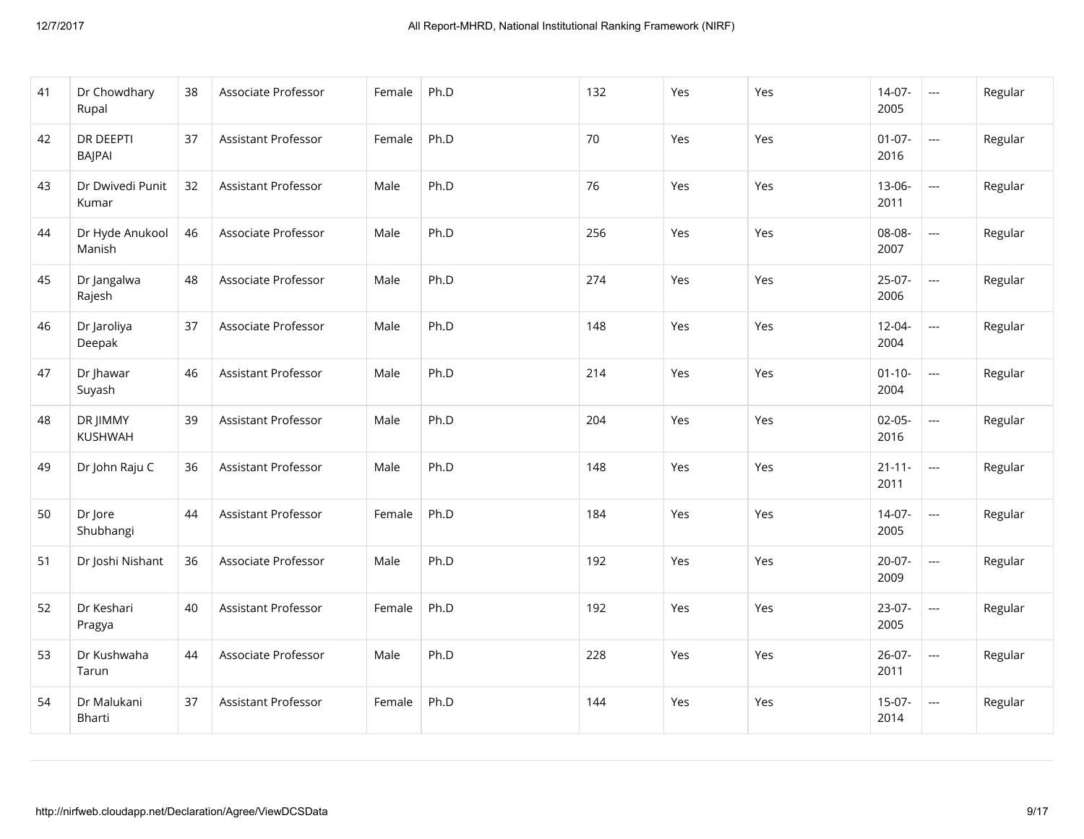| 41 | Dr Chowdhary<br>Rupal             | 38 | Associate Professor        | Female | Ph.D | 132 | Yes | Yes | $14-07-$<br>2005    | $\sim$                   | Regular |
|----|-----------------------------------|----|----------------------------|--------|------|-----|-----|-----|---------------------|--------------------------|---------|
| 42 | <b>DR DEEPTI</b><br><b>BAJPAI</b> | 37 | Assistant Professor        | Female | Ph.D | 70  | Yes | Yes | $01 - 07 -$<br>2016 | $\mathbb{L} \mathbb{L}$  | Regular |
| 43 | Dr Dwivedi Punit<br>Kumar         | 32 | Assistant Professor        | Male   | Ph.D | 76  | Yes | Yes | 13-06-<br>2011      | ---                      | Regular |
| 44 | Dr Hyde Anukool<br>Manish         | 46 | Associate Professor        | Male   | Ph.D | 256 | Yes | Yes | 08-08-<br>2007      | $\overline{\phantom{a}}$ | Regular |
| 45 | Dr Jangalwa<br>Rajesh             | 48 | Associate Professor        | Male   | Ph.D | 274 | Yes | Yes | $25-07-$<br>2006    | ---                      | Regular |
| 46 | Dr Jaroliya<br>Deepak             | 37 | Associate Professor        | Male   | Ph.D | 148 | Yes | Yes | 12-04-<br>2004      | ---                      | Regular |
| 47 | Dr Jhawar<br>Suyash               | 46 | Assistant Professor        | Male   | Ph.D | 214 | Yes | Yes | $01 - 10 -$<br>2004 |                          | Regular |
| 48 | DR JIMMY<br>KUSHWAH               | 39 | <b>Assistant Professor</b> | Male   | Ph.D | 204 | Yes | Yes | $02 - 05 -$<br>2016 | ---                      | Regular |
| 49 | Dr John Raju C                    | 36 | Assistant Professor        | Male   | Ph.D | 148 | Yes | Yes | $21 - 11 -$<br>2011 |                          | Regular |
| 50 | Dr Jore<br>Shubhangi              | 44 | <b>Assistant Professor</b> | Female | Ph.D | 184 | Yes | Yes | $14-07-$<br>2005    | $\overline{\phantom{a}}$ | Regular |
| 51 | Dr Joshi Nishant                  | 36 | Associate Professor        | Male   | Ph.D | 192 | Yes | Yes | $20-07-$<br>2009    | ---                      | Regular |
| 52 | Dr Keshari<br>Pragya              | 40 | Assistant Professor        | Female | Ph.D | 192 | Yes | Yes | 23-07-<br>2005      | ---                      | Regular |
| 53 | Dr Kushwaha<br>Tarun              | 44 | Associate Professor        | Male   | Ph.D | 228 | Yes | Yes | $26 - 07 -$<br>2011 | <u>---</u>               | Regular |
| 54 | Dr Malukani<br>Bharti             | 37 | Assistant Professor        | Female | Ph.D | 144 | Yes | Yes | $15-07-$<br>2014    | ---                      | Regular |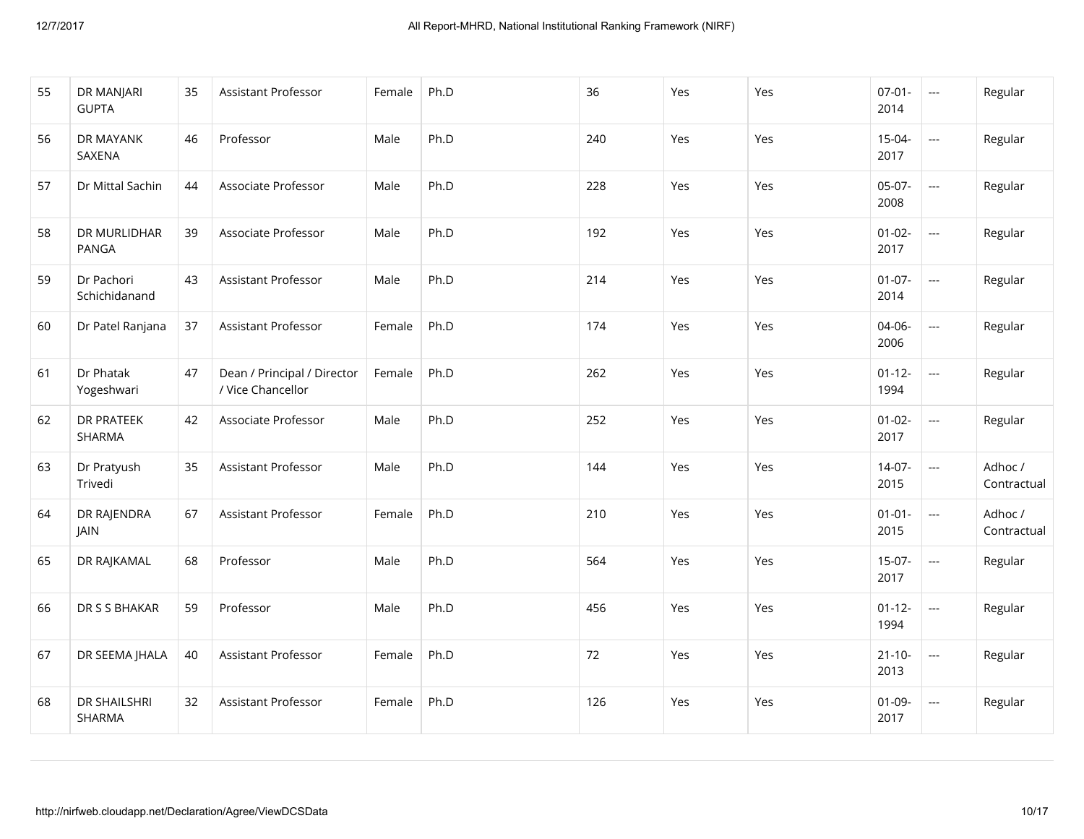| 55 | DR MANJARI<br><b>GUPTA</b>    | 35 | Assistant Professor                              | Female | Ph.D | 36  | Yes | Yes | $07 - 01 -$<br>2014 | $\mathbb{H}^{\mathbb{H}}$ | Regular                |
|----|-------------------------------|----|--------------------------------------------------|--------|------|-----|-----|-----|---------------------|---------------------------|------------------------|
| 56 | DR MAYANK<br>SAXENA           | 46 | Professor                                        | Male   | Ph.D | 240 | Yes | Yes | $15 - 04 -$<br>2017 | ---                       | Regular                |
| 57 | Dr Mittal Sachin              | 44 | Associate Professor                              | Male   | Ph.D | 228 | Yes | Yes | $05-07-$<br>2008    | ---                       | Regular                |
| 58 | DR MURLIDHAR<br><b>PANGA</b>  | 39 | Associate Professor                              | Male   | Ph.D | 192 | Yes | Yes | $01 - 02 -$<br>2017 | $\frac{1}{2}$             | Regular                |
| 59 | Dr Pachori<br>Schichidanand   | 43 | <b>Assistant Professor</b>                       | Male   | Ph.D | 214 | Yes | Yes | $01-07-$<br>2014    | ---                       | Regular                |
| 60 | Dr Patel Ranjana              | 37 | Assistant Professor                              | Female | Ph.D | 174 | Yes | Yes | 04-06-<br>2006      | ---                       | Regular                |
| 61 | Dr Phatak<br>Yogeshwari       | 47 | Dean / Principal / Director<br>/ Vice Chancellor | Female | Ph.D | 262 | Yes | Yes | $01 - 12 -$<br>1994 | $\overline{\phantom{a}}$  | Regular                |
| 62 | <b>DR PRATEEK</b><br>SHARMA   | 42 | Associate Professor                              | Male   | Ph.D | 252 | Yes | Yes | $01 - 02 -$<br>2017 |                           | Regular                |
| 63 | Dr Pratyush<br>Trivedi        | 35 | Assistant Professor                              | Male   | Ph.D | 144 | Yes | Yes | $14-07-$<br>2015    | ---                       | Adhoc /<br>Contractual |
| 64 | DR RAJENDRA<br>JAIN           | 67 | <b>Assistant Professor</b>                       | Female | Ph.D | 210 | Yes | Yes | $01 - 01 -$<br>2015 |                           | Adhoc /<br>Contractual |
| 65 | DR RAJKAMAL                   | 68 | Professor                                        | Male   | Ph.D | 564 | Yes | Yes | $15-07-$<br>2017    | $\mathbb{L} \mathbb{L}$   | Regular                |
| 66 | DR S S BHAKAR                 | 59 | Professor                                        | Male   | Ph.D | 456 | Yes | Yes | $01 - 12 -$<br>1994 | ---                       | Regular                |
| 67 | DR SEEMA JHALA                | 40 | <b>Assistant Professor</b>                       | Female | Ph.D | 72  | Yes | Yes | $21 - 10 -$<br>2013 | ---                       | Regular                |
| 68 | <b>DR SHAILSHRI</b><br>SHARMA | 32 | Assistant Professor                              | Female | Ph.D | 126 | Yes | Yes | $01 - 09 -$<br>2017 | ---                       | Regular                |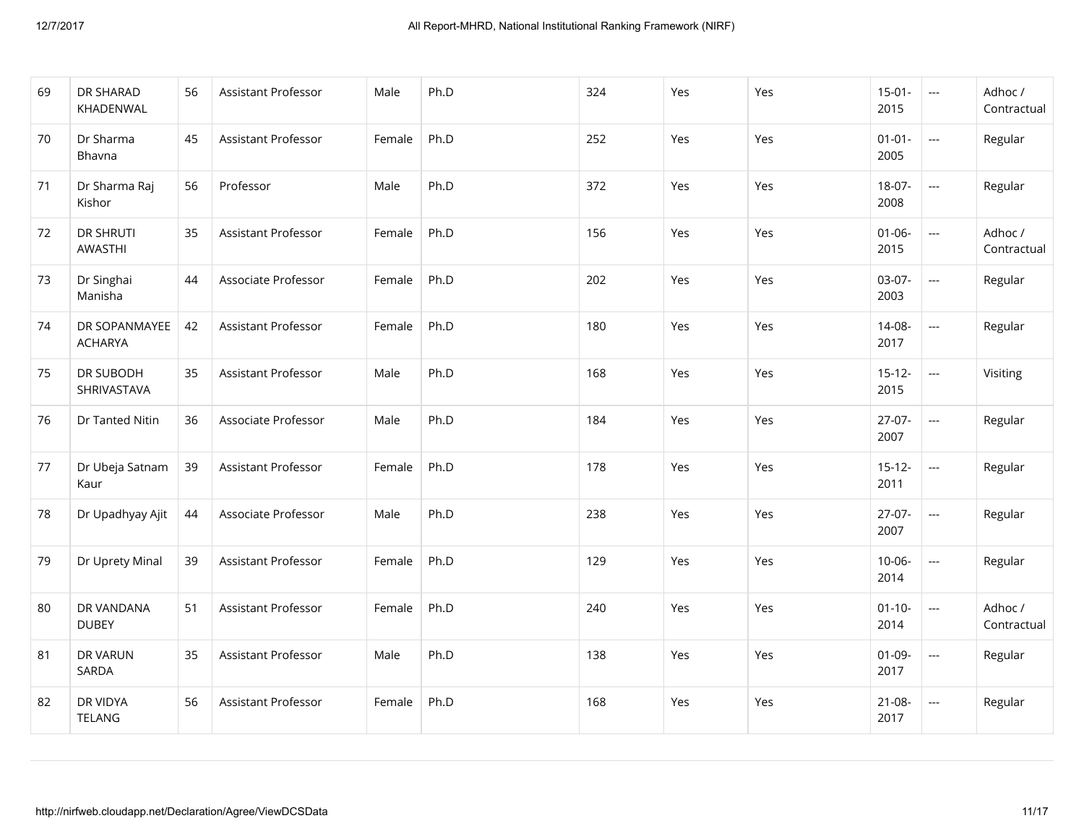| 69 | DR SHARAD<br>KHADENWAL          | 56 | Assistant Professor | Male   | Ph.D | 324 | Yes | Yes | $15-01-$<br>2015    | $\sim$ $\sim$                      | Adhoc /<br>Contractual |
|----|---------------------------------|----|---------------------|--------|------|-----|-----|-----|---------------------|------------------------------------|------------------------|
| 70 | Dr Sharma<br>Bhavna             | 45 | Assistant Professor | Female | Ph.D | 252 | Yes | Yes | $01 - 01 -$<br>2005 | $\overline{\phantom{a}}$           | Regular                |
| 71 | Dr Sharma Raj<br>Kishor         | 56 | Professor           | Male   | Ph.D | 372 | Yes | Yes | 18-07-<br>2008      | $\frac{1}{2}$                      | Regular                |
| 72 | <b>DR SHRUTI</b><br>AWASTHI     | 35 | Assistant Professor | Female | Ph.D | 156 | Yes | Yes | $01 - 06 -$<br>2015 | $\frac{1}{2}$                      | Adhoc /<br>Contractual |
| 73 | Dr Singhai<br>Manisha           | 44 | Associate Professor | Female | Ph.D | 202 | Yes | Yes | $03-07-$<br>2003    | $\mathbb{Z} \mathbb{Z} \mathbb{Z}$ | Regular                |
| 74 | DR SOPANMAYEE<br><b>ACHARYA</b> | 42 | Assistant Professor | Female | Ph.D | 180 | Yes | Yes | 14-08-<br>2017      | $\overline{\phantom{a}}$           | Regular                |
| 75 | DR SUBODH<br>SHRIVASTAVA        | 35 | Assistant Professor | Male   | Ph.D | 168 | Yes | Yes | $15 - 12 -$<br>2015 | $\frac{1}{2}$                      | Visiting               |
| 76 | Dr Tanted Nitin                 | 36 | Associate Professor | Male   | Ph.D | 184 | Yes | Yes | $27-07-$<br>2007    | $\mathbb{Z} \mathbb{Z} \mathbb{Z}$ | Regular                |
| 77 | Dr Ubeja Satnam<br>Kaur         | 39 | Assistant Professor | Female | Ph.D | 178 | Yes | Yes | $15 - 12 -$<br>2011 | $\overline{\phantom{a}}$           | Regular                |
| 78 | Dr Upadhyay Ajit                | 44 | Associate Professor | Male   | Ph.D | 238 | Yes | Yes | $27-07-$<br>2007    | $\sim$                             | Regular                |
| 79 | Dr Uprety Minal                 | 39 | Assistant Professor | Female | Ph.D | 129 | Yes | Yes | $10 - 06 -$<br>2014 | $\mathbb{Z} \mathbb{Z} \mathbb{Z}$ | Regular                |
| 80 | DR VANDANA<br><b>DUBEY</b>      | 51 | Assistant Professor | Female | Ph.D | 240 | Yes | Yes | $01 - 10 -$<br>2014 | $\overline{\phantom{a}}$           | Adhoc /<br>Contractual |
| 81 | DR VARUN<br>SARDA               | 35 | Assistant Professor | Male   | Ph.D | 138 | Yes | Yes | $01 - 09 -$<br>2017 | $\frac{1}{2}$                      | Regular                |
| 82 | DR VIDYA<br>TELANG              | 56 | Assistant Professor | Female | Ph.D | 168 | Yes | Yes | $21 - 08 -$<br>2017 | $\overline{\phantom{a}}$           | Regular                |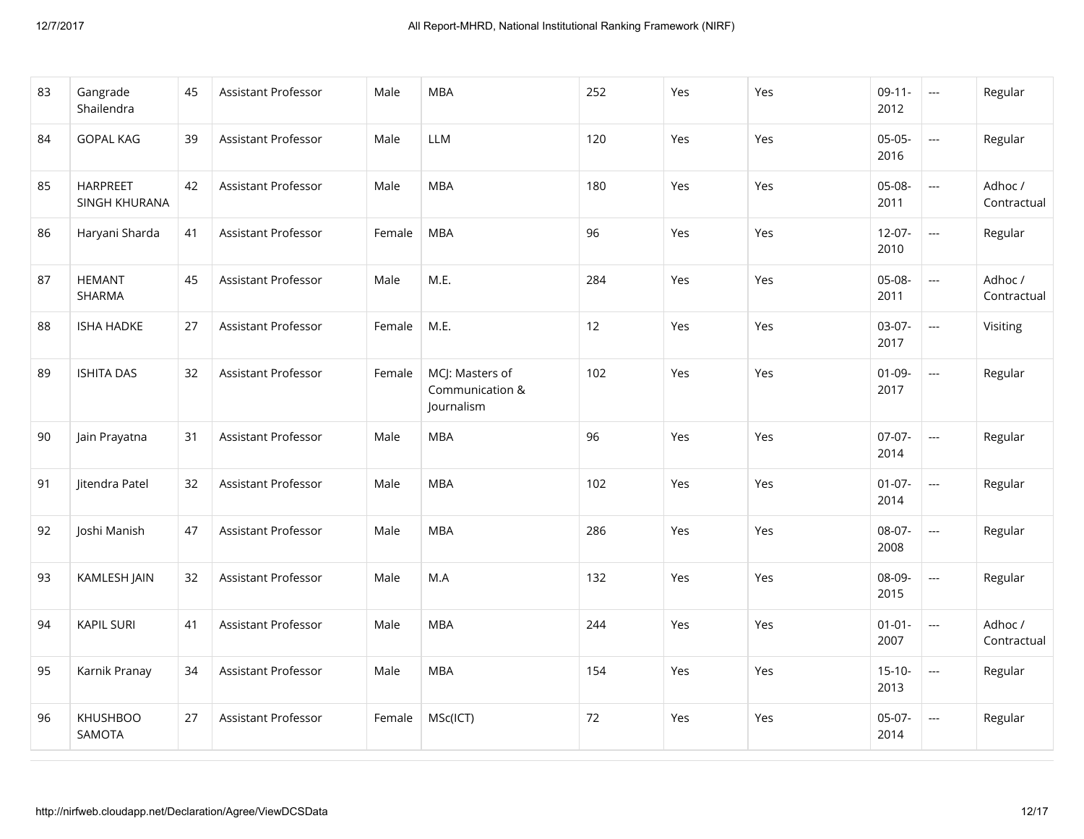| 83 | Gangrade<br>Shailendra           | 45 | Assistant Professor | Male   | <b>MBA</b>                                       | 252 | Yes | Yes | $09-11-$<br>2012    | $\mathbb{Z} \mathbb{Z} \mathbb{Z}$                  | Regular                |
|----|----------------------------------|----|---------------------|--------|--------------------------------------------------|-----|-----|-----|---------------------|-----------------------------------------------------|------------------------|
| 84 | <b>GOPAL KAG</b>                 | 39 | Assistant Professor | Male   | <b>LLM</b>                                       | 120 | Yes | Yes | $05-05-$<br>2016    | $\frac{1}{2}$                                       | Regular                |
| 85 | <b>HARPREET</b><br>SINGH KHURANA | 42 | Assistant Professor | Male   | <b>MBA</b>                                       | 180 | Yes | Yes | 05-08-<br>2011      |                                                     | Adhoc /<br>Contractual |
| 86 | Haryani Sharda                   | 41 | Assistant Professor | Female | <b>MBA</b>                                       | 96  | Yes | Yes | $12 - 07 -$<br>2010 |                                                     | Regular                |
| 87 | <b>HEMANT</b><br>SHARMA          | 45 | Assistant Professor | Male   | M.E.                                             | 284 | Yes | Yes | $05-08-$<br>2011    | $\overline{\phantom{a}}$                            | Adhoc /<br>Contractual |
| 88 | <b>ISHA HADKE</b>                | 27 | Assistant Professor | Female | M.E.                                             | 12  | Yes | Yes | 03-07-<br>2017      | $\mathbb{H}^{\mathbb{H}^{\mathbb{H}}}_{\mathbb{H}}$ | Visiting               |
| 89 | <b>ISHITA DAS</b>                | 32 | Assistant Professor | Female | MCJ: Masters of<br>Communication &<br>Journalism | 102 | Yes | Yes | $01 - 09 -$<br>2017 | $\frac{1}{2}$                                       | Regular                |
| 90 | Jain Prayatna                    | 31 | Assistant Professor | Male   | <b>MBA</b>                                       | 96  | Yes | Yes | $07-07-$<br>2014    | $\mathbb{H}^{\mathbb{H}^{\mathbb{H}}}_{\mathbb{H}}$ | Regular                |
| 91 | Jitendra Patel                   | 32 | Assistant Professor | Male   | <b>MBA</b>                                       | 102 | Yes | Yes | $01 - 07 -$<br>2014 | $\overline{\phantom{a}}$                            | Regular                |
| 92 | Joshi Manish                     | 47 | Assistant Professor | Male   | <b>MBA</b>                                       | 286 | Yes | Yes | 08-07-<br>2008      | $\mathbb{H}^{\mathbb{H}^{\mathbb{H}}}$              | Regular                |
| 93 | KAMLESH JAIN                     | 32 | Assistant Professor | Male   | M.A                                              | 132 | Yes | Yes | 08-09-<br>2015      | $\frac{1}{2}$                                       | Regular                |
| 94 | <b>KAPIL SURI</b>                | 41 | Assistant Professor | Male   | <b>MBA</b>                                       | 244 | Yes | Yes | $01 - 01 -$<br>2007 | $\overline{\phantom{a}}$                            | Adhoc /<br>Contractual |
| 95 | Karnik Pranay                    | 34 | Assistant Professor | Male   | <b>MBA</b>                                       | 154 | Yes | Yes | $15-10-$<br>2013    | $\hspace{0.05cm} \ldots$                            | Regular                |
| 96 | <b>KHUSHBOO</b><br>SAMOTA        | 27 | Assistant Professor | Female | MSc(ICT)                                         | 72  | Yes | Yes | $05-07-$<br>2014    | $\overline{\phantom{a}}$                            | Regular                |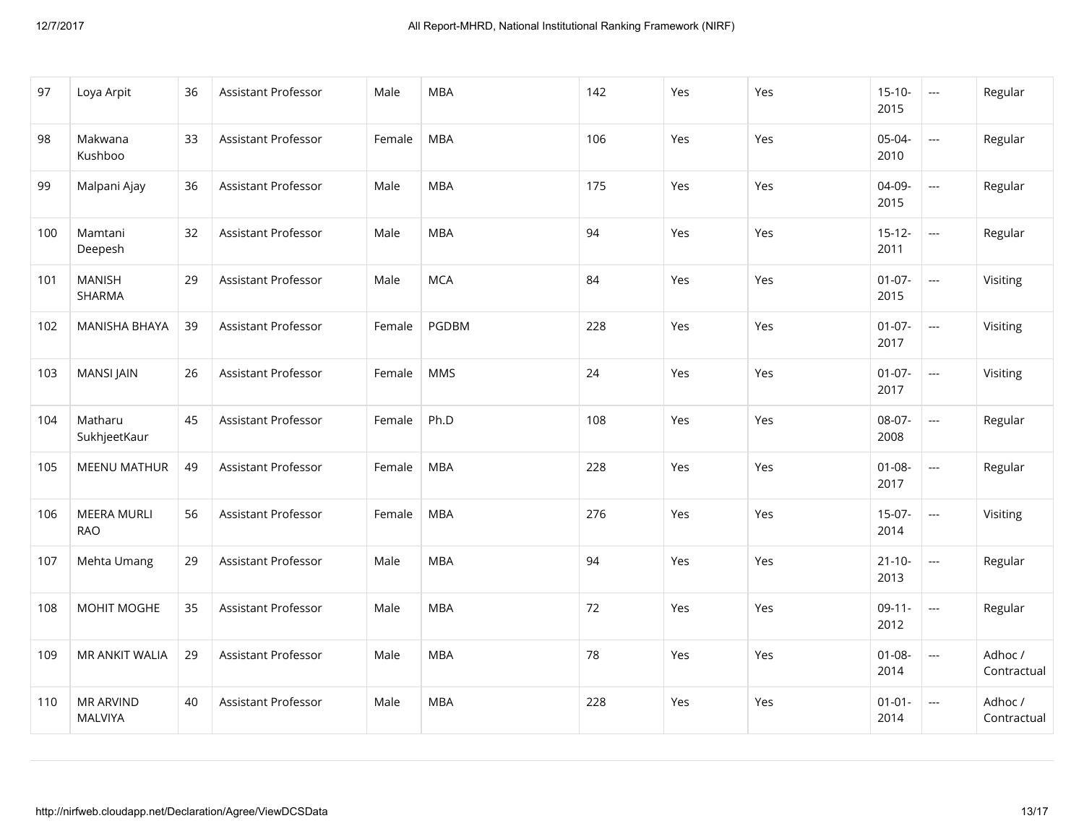| 97  | Loya Arpit                         | 36 | Assistant Professor        | Male   | <b>MBA</b> | 142 | Yes | Yes | $15 - 10 -$<br>2015 | $\sim$ $\sim$            | Regular                |
|-----|------------------------------------|----|----------------------------|--------|------------|-----|-----|-----|---------------------|--------------------------|------------------------|
| 98  | Makwana<br>Kushboo                 | 33 | Assistant Professor        | Female | <b>MBA</b> | 106 | Yes | Yes | 05-04-<br>2010      | ---                      | Regular                |
| 99  | Malpani Ajay                       | 36 | <b>Assistant Professor</b> | Male   | <b>MBA</b> | 175 | Yes | Yes | 04-09-<br>2015      | ---                      | Regular                |
| 100 | Mamtani<br>Deepesh                 | 32 | Assistant Professor        | Male   | <b>MBA</b> | 94  | Yes | Yes | $15 - 12 -$<br>2011 | $\mathbb{L} \mathbb{L}$  | Regular                |
| 101 | <b>MANISH</b><br>SHARMA            | 29 | Assistant Professor        | Male   | <b>MCA</b> | 84  | Yes | Yes | $01 - 07 -$<br>2015 | $\overline{\phantom{a}}$ | Visiting               |
| 102 | <b>MANISHA BHAYA</b>               | 39 | <b>Assistant Professor</b> | Female | PGDBM      | 228 | Yes | Yes | $01 - 07 -$<br>2017 | ---                      | Visiting               |
| 103 | <b>MANSI JAIN</b>                  | 26 | Assistant Professor        | Female | <b>MMS</b> | 24  | Yes | Yes | $01 - 07 -$<br>2017 | $\frac{1}{2}$            | Visiting               |
| 104 | Matharu<br>SukhjeetKaur            | 45 | Assistant Professor        | Female | Ph.D       | 108 | Yes | Yes | 08-07-<br>2008      | $\hspace{0.05cm} \ldots$ | Regular                |
| 105 | <b>MEENU MATHUR</b>                | 49 | Assistant Professor        | Female | <b>MBA</b> | 228 | Yes | Yes | $01 - 08 -$<br>2017 | ---                      | Regular                |
| 106 | <b>MEERA MURLI</b><br><b>RAO</b>   | 56 | <b>Assistant Professor</b> | Female | <b>MBA</b> | 276 | Yes | Yes | $15-07-$<br>2014    | $\mathbb{L} \mathbb{L}$  | Visiting               |
| 107 | Mehta Umang                        | 29 | <b>Assistant Professor</b> | Male   | <b>MBA</b> | 94  | Yes | Yes | $21 - 10 -$<br>2013 | $\hspace{0.05cm} \ldots$ | Regular                |
| 108 | MOHIT MOGHE                        | 35 | Assistant Professor        | Male   | <b>MBA</b> | 72  | Yes | Yes | $09-11-$<br>2012    | ---                      | Regular                |
| 109 | MR ANKIT WALIA                     | 29 | <b>Assistant Professor</b> | Male   | <b>MBA</b> | 78  | Yes | Yes | $01 - 08 -$<br>2014 | ---                      | Adhoc /<br>Contractual |
| 110 | <b>MR ARVIND</b><br><b>MALVIYA</b> | 40 | Assistant Professor        | Male   | <b>MBA</b> | 228 | Yes | Yes | $01 - 01 -$<br>2014 | ---                      | Adhoc /<br>Contractual |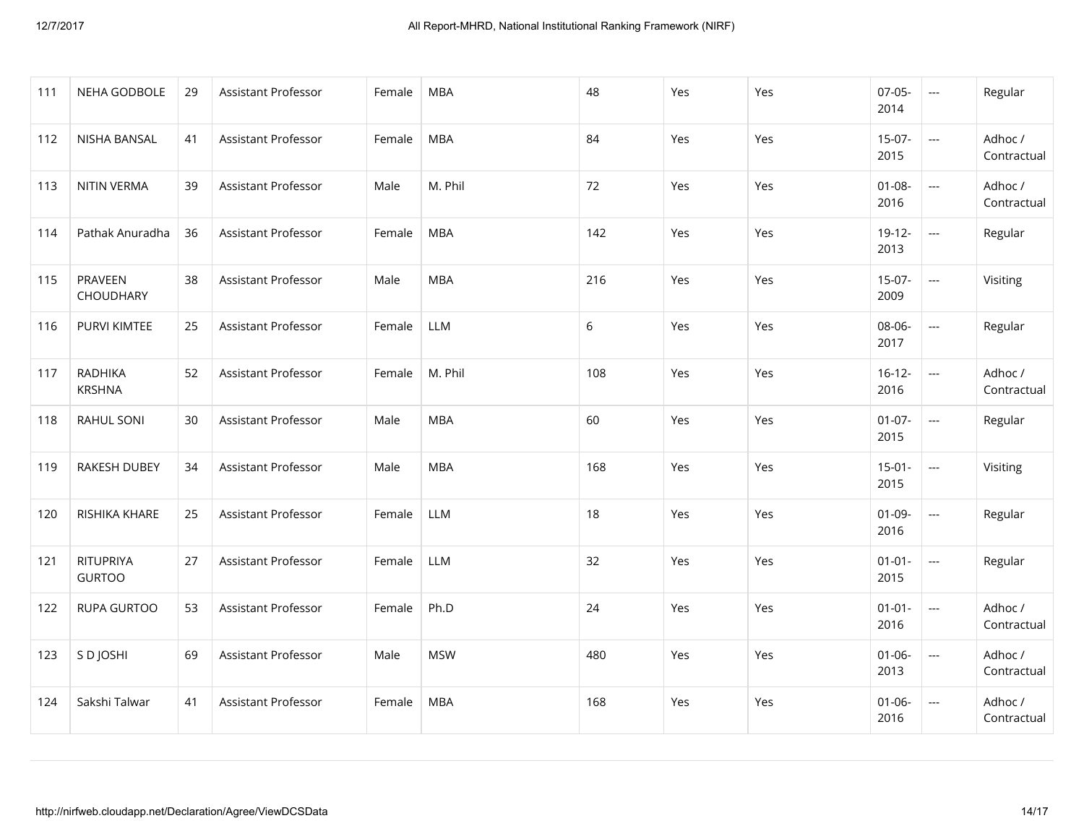| 111 | NEHA GODBOLE                    | 29 | Assistant Professor | Female | <b>MBA</b> | 48  | Yes | Yes | $07 - 05 -$<br>2014 | $\sim$                                              | Regular                |
|-----|---------------------------------|----|---------------------|--------|------------|-----|-----|-----|---------------------|-----------------------------------------------------|------------------------|
| 112 | NISHA BANSAL                    | 41 | Assistant Professor | Female | <b>MBA</b> | 84  | Yes | Yes | $15-07-$<br>2015    | $\mathbb{H}^{\mathbb{H}^{\mathbb{H}}}_{\mathbb{H}}$ | Adhoc /<br>Contractual |
| 113 | NITIN VERMA                     | 39 | Assistant Professor | Male   | M. Phil    | 72  | Yes | Yes | $01 - 08 -$<br>2016 |                                                     | Adhoc /<br>Contractual |
| 114 | Pathak Anuradha                 | 36 | Assistant Professor | Female | <b>MBA</b> | 142 | Yes | Yes | $19-12-$<br>2013    | ---                                                 | Regular                |
| 115 | PRAVEEN<br>CHOUDHARY            | 38 | Assistant Professor | Male   | <b>MBA</b> | 216 | Yes | Yes | $15-07-$<br>2009    | $\overline{\phantom{a}}$                            | Visiting               |
| 116 | <b>PURVI KIMTEE</b>             | 25 | Assistant Professor | Female | LLM        | 6   | Yes | Yes | 08-06-<br>2017      | $\mathbb{Z} \mathbb{Z} \mathbb{Z}$                  | Regular                |
| 117 | <b>RADHIKA</b><br><b>KRSHNA</b> | 52 | Assistant Professor | Female | M. Phil    | 108 | Yes | Yes | $16 - 12 -$<br>2016 | $\hspace{0.05cm} \ldots$                            | Adhoc /<br>Contractual |
| 118 | RAHUL SONI                      | 30 | Assistant Professor | Male   | <b>MBA</b> | 60  | Yes | Yes | $01 - 07 -$<br>2015 | $\overline{\phantom{a}}$                            | Regular                |
| 119 | <b>RAKESH DUBEY</b>             | 34 | Assistant Professor | Male   | <b>MBA</b> | 168 | Yes | Yes | $15-01-$<br>2015    | $\mathbb{Z} \mathbb{Z} \mathbb{Z}$                  | Visiting               |
| 120 | RISHIKA KHARE                   | 25 | Assistant Professor | Female | <b>LLM</b> | 18  | Yes | Yes | $01 - 09 -$<br>2016 | $\hspace{0.05cm} \ldots$                            | Regular                |
| 121 | RITUPRIYA<br><b>GURTOO</b>      | 27 | Assistant Professor | Female | <b>LLM</b> | 32  | Yes | Yes | $01 - 01 -$<br>2015 | $\frac{1}{2}$                                       | Regular                |
| 122 | <b>RUPA GURTOO</b>              | 53 | Assistant Professor | Female | Ph.D       | 24  | Yes | Yes | $01 - 01 -$<br>2016 |                                                     | Adhoc /<br>Contractual |
| 123 | S D JOSHI                       | 69 | Assistant Professor | Male   | <b>MSW</b> | 480 | Yes | Yes | $01 - 06 -$<br>2013 | ---                                                 | Adhoc /<br>Contractual |
| 124 | Sakshi Talwar                   | 41 | Assistant Professor | Female | <b>MBA</b> | 168 | Yes | Yes | $01 - 06 -$<br>2016 | $\overline{\phantom{a}}$                            | Adhoc /<br>Contractual |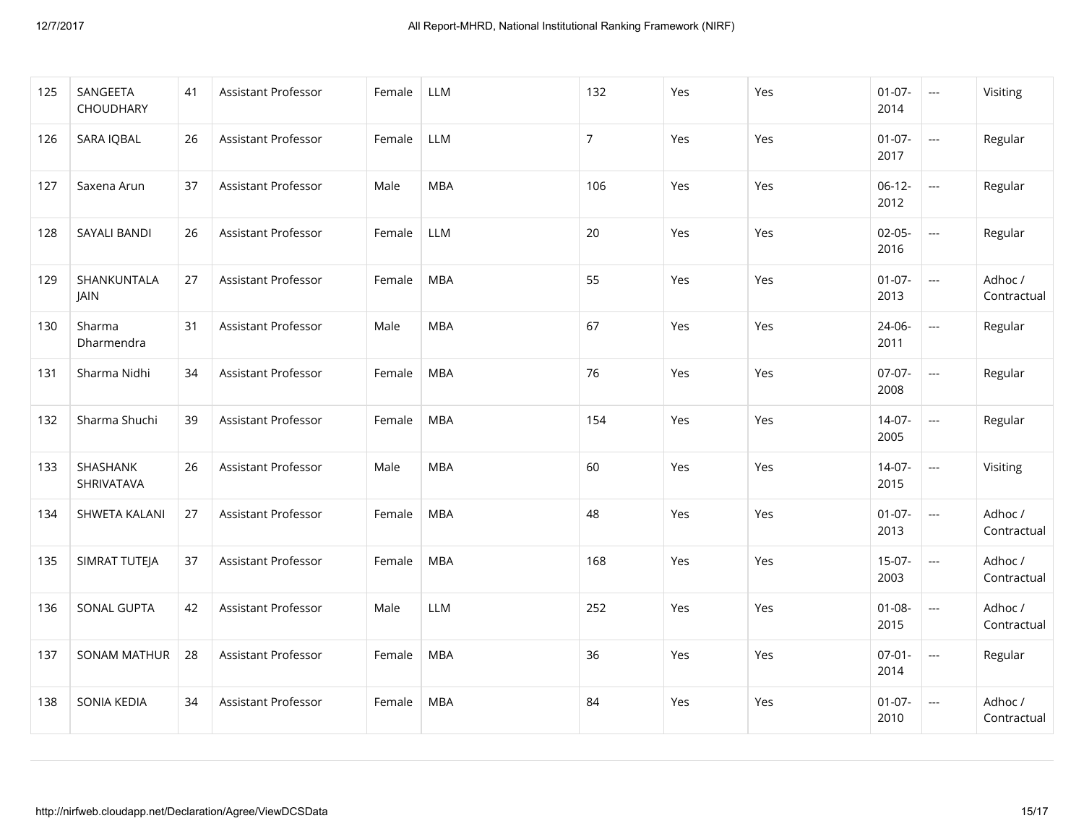| 125 | SANGEETA<br>CHOUDHARY         | 41 | Assistant Professor        | Female | LLM        | 132            | Yes | Yes | $01-07-$<br>2014    | $\overline{\phantom{a}}$               | Visiting               |
|-----|-------------------------------|----|----------------------------|--------|------------|----------------|-----|-----|---------------------|----------------------------------------|------------------------|
| 126 | SARA IQBAL                    | 26 | Assistant Professor        | Female | LLM        | $\overline{7}$ | Yes | Yes | $01-07-$<br>2017    | $\hspace{0.05cm} \ldots$               | Regular                |
| 127 | Saxena Arun                   | 37 | Assistant Professor        | Male   | <b>MBA</b> | 106            | Yes | Yes | $06-12-$<br>2012    | ---                                    | Regular                |
| 128 | <b>SAYALI BANDI</b>           | 26 | Assistant Professor        | Female | LLM        | 20             | Yes | Yes | $02 - 05 -$<br>2016 |                                        | Regular                |
| 129 | SHANKUNTALA<br>JAIN           | 27 | Assistant Professor        | Female | <b>MBA</b> | 55             | Yes | Yes | $01-07-$<br>2013    | $\sim$ $\sim$                          | Adhoc /<br>Contractual |
| 130 | Sharma<br>Dharmendra          | 31 | Assistant Professor        | Male   | <b>MBA</b> | 67             | Yes | Yes | 24-06-<br>2011      | ---                                    | Regular                |
| 131 | Sharma Nidhi                  | 34 | Assistant Professor        | Female | <b>MBA</b> | 76             | Yes | Yes | $07-07-$<br>2008    | $\overline{\phantom{a}}$               | Regular                |
| 132 | Sharma Shuchi                 | 39 | <b>Assistant Professor</b> | Female | <b>MBA</b> | 154            | Yes | Yes | 14-07-<br>2005      | $\scriptstyle\cdots\scriptstyle\cdots$ | Regular                |
| 133 | <b>SHASHANK</b><br>SHRIVATAVA | 26 | Assistant Professor        | Male   | <b>MBA</b> | 60             | Yes | Yes | $14-07-$<br>2015    | ---                                    | Visiting               |
| 134 | SHWETA KALANI                 | 27 | Assistant Professor        | Female | <b>MBA</b> | 48             | Yes | Yes | $01-07-$<br>2013    | $\hspace{0.05cm} \ldots$               | Adhoc /<br>Contractual |
| 135 | SIMRAT TUTEJA                 | 37 | Assistant Professor        | Female | <b>MBA</b> | 168            | Yes | Yes | $15-07-$<br>2003    | $\scriptstyle\cdots\scriptstyle\cdots$ | Adhoc /<br>Contractual |
| 136 | SONAL GUPTA                   | 42 | Assistant Professor        | Male   | <b>LLM</b> | 252            | Yes | Yes | $01 - 08 -$<br>2015 | ---                                    | Adhoc /<br>Contractual |
| 137 | <b>SONAM MATHUR</b>           | 28 | <b>Assistant Professor</b> | Female | <b>MBA</b> | 36             | Yes | Yes | $07 - 01 -$<br>2014 | ---                                    | Regular                |
| 138 | <b>SONIA KEDIA</b>            | 34 | Assistant Professor        | Female | <b>MBA</b> | 84             | Yes | Yes | $01 - 07 -$<br>2010 | ---                                    | Adhoc /<br>Contractual |